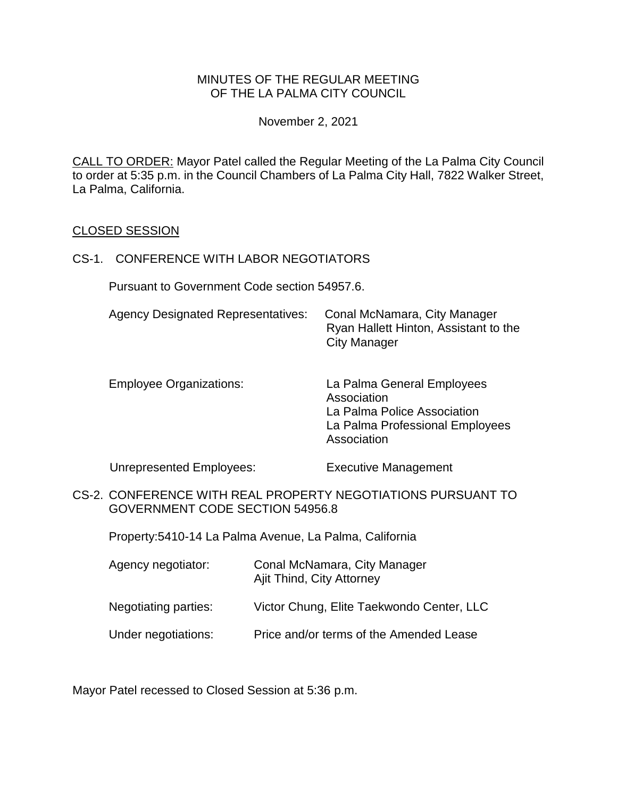## MINUTES OF THE REGULAR MEETING OF THE LA PALMA CITY COUNCIL

November 2, 2021

CALL TO ORDER: Mayor Patel called the Regular Meeting of the La Palma City Council to order at 5:35 p.m. in the Council Chambers of La Palma City Hall, 7822 Walker Street, La Palma, California.

#### CLOSED SESSION

#### CS-1. CONFERENCE WITH LABOR NEGOTIATORS

Pursuant to Government Code section 54957.6.

| <b>Agency Designated Representatives:</b> | Conal McNamara, City Manager<br>Ryan Hallett Hinton, Assistant to the |
|-------------------------------------------|-----------------------------------------------------------------------|
|                                           | <b>City Manager</b>                                                   |

Employee Organizations: La Palma General Employees Association La Palma Police Association La Palma Professional Employees Association

Unrepresented Employees: Executive Management

CS-2. CONFERENCE WITH REAL PROPERTY NEGOTIATIONS PURSUANT TO GOVERNMENT CODE SECTION 54956.8

Property:5410-14 La Palma Avenue, La Palma, California

| Agency negotiator:   | Conal McNamara, City Manager<br>Ajit Thind, City Attorney |
|----------------------|-----------------------------------------------------------|
| Negotiating parties: | Victor Chung, Elite Taekwondo Center, LLC                 |
| Under negotiations:  | Price and/or terms of the Amended Lease                   |

Mayor Patel recessed to Closed Session at 5:36 p.m.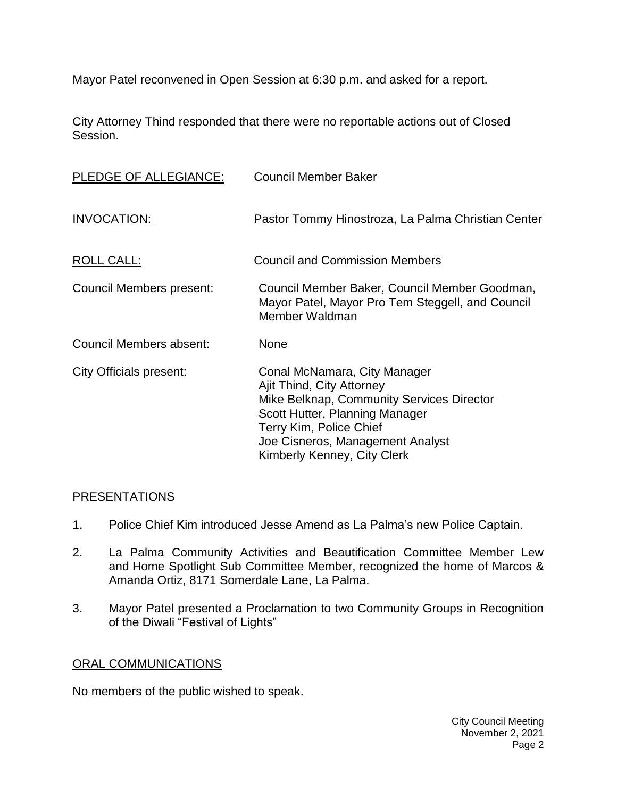Mayor Patel reconvened in Open Session at 6:30 p.m. and asked for a report.

City Attorney Thind responded that there were no reportable actions out of Closed Session.

| PLEDGE OF ALLEGIANCE:    | <b>Council Member Baker</b>                                                                                                                                                                                                            |
|--------------------------|----------------------------------------------------------------------------------------------------------------------------------------------------------------------------------------------------------------------------------------|
| INVOCATION:              | Pastor Tommy Hinostroza, La Palma Christian Center                                                                                                                                                                                     |
| ROLL CALL:               | <b>Council and Commission Members</b>                                                                                                                                                                                                  |
| Council Members present: | Council Member Baker, Council Member Goodman,<br>Mayor Patel, Mayor Pro Tem Steggell, and Council<br>Member Waldman                                                                                                                    |
| Council Members absent:  | <b>None</b>                                                                                                                                                                                                                            |
| City Officials present:  | Conal McNamara, City Manager<br>Ajit Thind, City Attorney<br>Mike Belknap, Community Services Director<br>Scott Hutter, Planning Manager<br>Terry Kim, Police Chief<br>Joe Cisneros, Management Analyst<br>Kimberly Kenney, City Clerk |

## [PRESENTATIONS](https://lapalma.granicus.com/MediaPlayer.php?view_id=&clip_id=1272&meta_id=171317)

- 1. [Police Chief Kim introduced Jesse Amend as La Palma's new Police Captain.](https://lapalma.granicus.com/MediaPlayer.php?view_id=&clip_id=1272&meta_id=171318)
- 2. [La Palma Community Activities and Beautification Committee Member Lew](https://lapalma.granicus.com/MediaPlayer.php?view_id=&clip_id=1272&meta_id=171319)  and [Home Spotlight Sub Committee Member,](https://lapalma.granicus.com/MediaPlayer.php?view_id=&clip_id=1272&meta_id=171319) recognized the home of Marcos & Amanda Ortiz, 8171 [Somerdale Lane, La Palma.](https://lapalma.granicus.com/MediaPlayer.php?view_id=&clip_id=1272&meta_id=171319)
- 3. [Mayor Patel presented a Proclamation to two Community Groups in Recognition](https://lapalma.granicus.com/MediaPlayer.php?view_id=&clip_id=1272&meta_id=171320)  [of the Diwali "Festival of Lights"](https://lapalma.granicus.com/MediaPlayer.php?view_id=&clip_id=1272&meta_id=171320)

# [ORAL COMMUNICATIONS](https://lapalma.granicus.com/MediaPlayer.php?view_id=&clip_id=1272&meta_id=171321)

No members of the public wished to speak.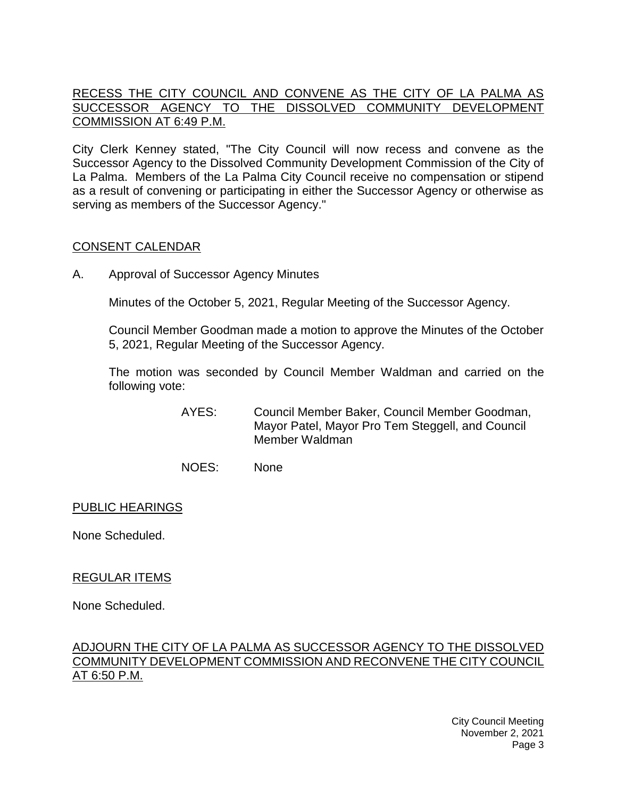# [RECESS THE CITY COUNCIL AND CONVENE AS THE CITY OF LA PALMA AS](https://lapalma.granicus.com/MediaPlayer.php?view_id=&clip_id=1272&meta_id=171322)  [SUCCESSOR AGENCY TO THE DISSOLVED COMMUNITY DEVELOPMENT](https://lapalma.granicus.com/MediaPlayer.php?view_id=&clip_id=1272&meta_id=171322)  [COMMISSION AT 6:49 P.M.](https://lapalma.granicus.com/MediaPlayer.php?view_id=&clip_id=1272&meta_id=171322)

[City Clerk Kenney stated, "The City Council will now recess and convene as the](https://lapalma.granicus.com/MediaPlayer.php?view_id=&clip_id=1272&meta_id=171323)  [Successor Agency to the Dissolved Community Development Commission of the City of](https://lapalma.granicus.com/MediaPlayer.php?view_id=&clip_id=1272&meta_id=171323)  La Palma. [Members of the La Palma City Council receive no compensation or stipend](https://lapalma.granicus.com/MediaPlayer.php?view_id=&clip_id=1272&meta_id=171323)  [as a result of convening or participating in either the Successor Agency or otherwise as](https://lapalma.granicus.com/MediaPlayer.php?view_id=&clip_id=1272&meta_id=171323)  [serving as members of the Successor Agency."](https://lapalma.granicus.com/MediaPlayer.php?view_id=&clip_id=1272&meta_id=171323)

# [CONSENT CALENDAR](https://lapalma.granicus.com/MediaPlayer.php?view_id=&clip_id=1272&meta_id=171324)

A. Approval of Successor Agency Minutes

Minutes of the October 5, 2021, Regular Meeting of the Successor Agency.

Council Member Goodman made a motion to approve the Minutes of the October 5, 2021, Regular Meeting of the Successor Agency.

The motion was seconded by Council Member Waldman and carried on the following vote:

- AYES: Council Member Baker, Council Member Goodman, Mayor Patel, Mayor Pro Tem Steggell, and Council Member Waldman
- NOES: None

## PUBLIC HEARINGS

None Scheduled.

## REGULAR ITEMS

None Scheduled.

## [ADJOURN THE CITY OF LA PALMA AS SUCCESSOR AGENCY TO THE DISSOLVED](https://lapalma.granicus.com/MediaPlayer.php?view_id=&clip_id=1272&meta_id=171328)  [COMMUNITY DEVELOPMENT COMMISSION AND RECONVENE THE CITY COUNCIL](https://lapalma.granicus.com/MediaPlayer.php?view_id=&clip_id=1272&meta_id=171328)  [AT 6:50 P.M.](https://lapalma.granicus.com/MediaPlayer.php?view_id=&clip_id=1272&meta_id=171328)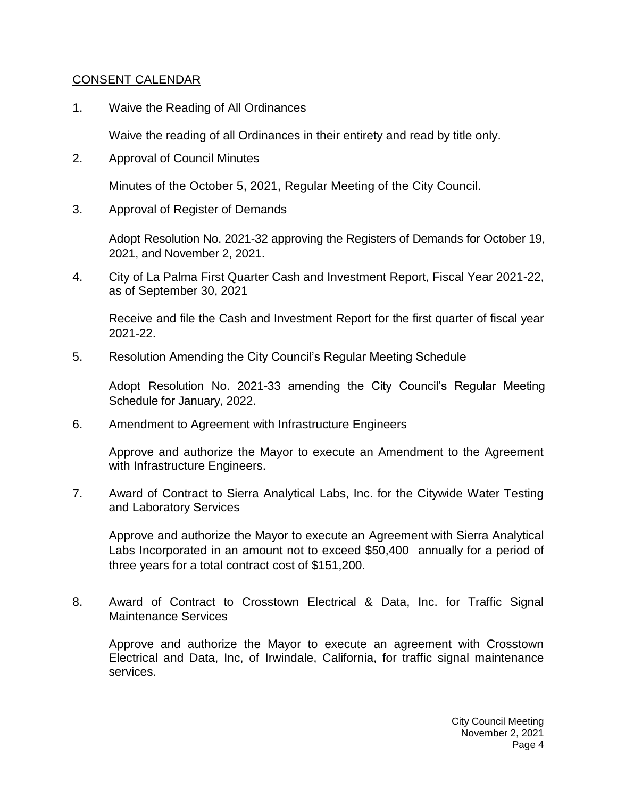# [CONSENT CALENDAR](https://lapalma.granicus.com/MediaPlayer.php?view_id=&clip_id=1272&meta_id=171330)

1. Waive the Reading of All Ordinances

Waive the reading of all Ordinances in their entirety and read by title only.

2. Approval of Council Minutes

Minutes of the October 5, 2021, Regular Meeting of the City Council.

3. Approval of Register of Demands

Adopt Resolution No. 2021-32 approving the Registers of Demands for October 19, 2021, and November 2, 2021.

4. City of La Palma First Quarter Cash and Investment Report, Fiscal Year 2021-22, as of September 30, 2021

Receive and file the Cash and Investment Report for the first quarter of fiscal year 2021-22.

5. Resolution Amending the City Council's Regular Meeting Schedule

Adopt Resolution No. 2021-33 amending the City Council's Regular Meeting Schedule for January, 2022.

6. Amendment to Agreement with Infrastructure Engineers

Approve and authorize the Mayor to execute an Amendment to the Agreement with Infrastructure Engineers.

7. Award of Contract to Sierra Analytical Labs, Inc. for the Citywide Water Testing and Laboratory Services

Approve and authorize the Mayor to execute an Agreement with Sierra Analytical Labs Incorporated in an amount not to exceed \$50,400 annually for a period of three years for a total contract cost of \$151,200.

8. Award of Contract to Crosstown Electrical & Data, Inc. for Traffic Signal Maintenance Services

Approve and authorize the Mayor to execute an agreement with Crosstown Electrical and Data, Inc, of Irwindale, California, for traffic signal maintenance services.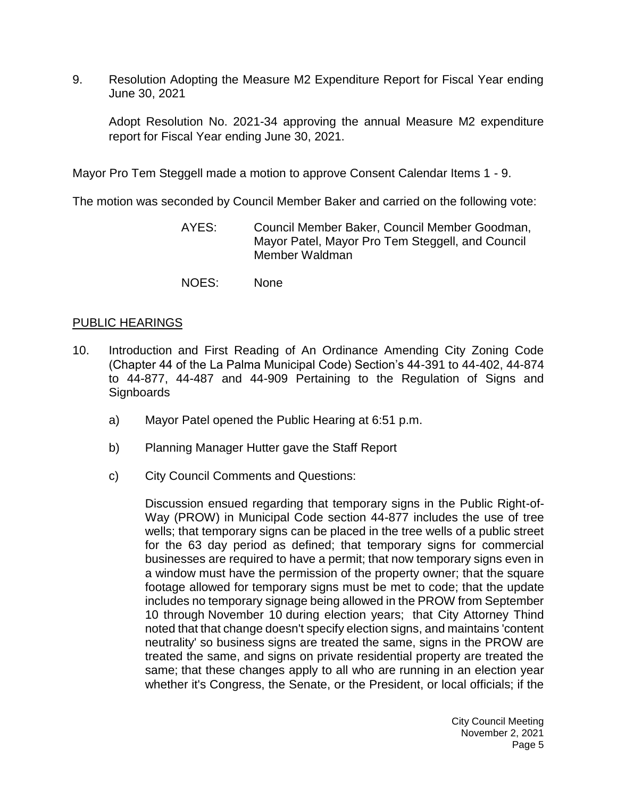9. Resolution Adopting the Measure M2 Expenditure Report for Fiscal Year ending June 30, 2021

Adopt Resolution No. 2021-34 approving the annual Measure M2 expenditure report for Fiscal Year ending June 30, 2021.

Mayor Pro Tem Steggell made a motion to approve Consent Calendar Items 1 - 9.

The motion was seconded by Council Member Baker and carried on the following vote:

- AYES: Council Member Baker, Council Member Goodman, Mayor Patel, Mayor Pro Tem Steggell, and Council Member Waldman
- NOES: None

## [PUBLIC HEARINGS](https://lapalma.granicus.com/MediaPlayer.php?view_id=&clip_id=1272&meta_id=171340)

- 10. [Introduction and First Reading of An Ordinance Amending City Zoning Code](https://lapalma.granicus.com/MediaPlayer.php?view_id=&clip_id=1272&meta_id=171341)  [\(Chapter 44 of the La Palma Municipal Code\) Section's 44-391 to 44-402, 44-874](https://lapalma.granicus.com/MediaPlayer.php?view_id=&clip_id=1272&meta_id=171341)  [to 44-877, 44-487 and 44-909 Pertaining to the Regulation of Signs and](https://lapalma.granicus.com/MediaPlayer.php?view_id=&clip_id=1272&meta_id=171341)  **[Signboards](https://lapalma.granicus.com/MediaPlayer.php?view_id=&clip_id=1272&meta_id=171341)** 
	- a) [Mayor Patel opened the Public Hearing at 6:51 p.m.](https://lapalma.granicus.com/MediaPlayer.php?view_id=&clip_id=1272&meta_id=171342)
	- b) [Planning Manager Hutter gave the Staff Report](https://lapalma.granicus.com/MediaPlayer.php?view_id=&clip_id=1272&meta_id=171343)
	- c) City Council [Comments and Questions:](https://lapalma.granicus.com/MediaPlayer.php?view_id=&clip_id=1272&meta_id=171344)

Discussion ensued regarding that temporary signs in the Public Right-of-Way (PROW) in Municipal Code section 44-877 includes the use of tree wells; that temporary signs can be placed in the tree wells of a public street for the 63 day period as defined; that temporary signs for commercial businesses are required to have a permit; that now temporary signs even in a window must have the permission of the property owner; that the square footage allowed for temporary signs must be met to code; that the update includes no temporary signage being allowed in the PROW from September 10 through November 10 during election years; that City Attorney Thind noted that that change doesn't specify election signs, and maintains 'content neutrality' so business signs are treated the same, signs in the PROW are treated the same, and signs on private residential property are treated the same; that these changes apply to all who are running in an election year whether it's Congress, the Senate, or the President, or local officials; if the

> City Council Meeting November 2, 2021 Page 5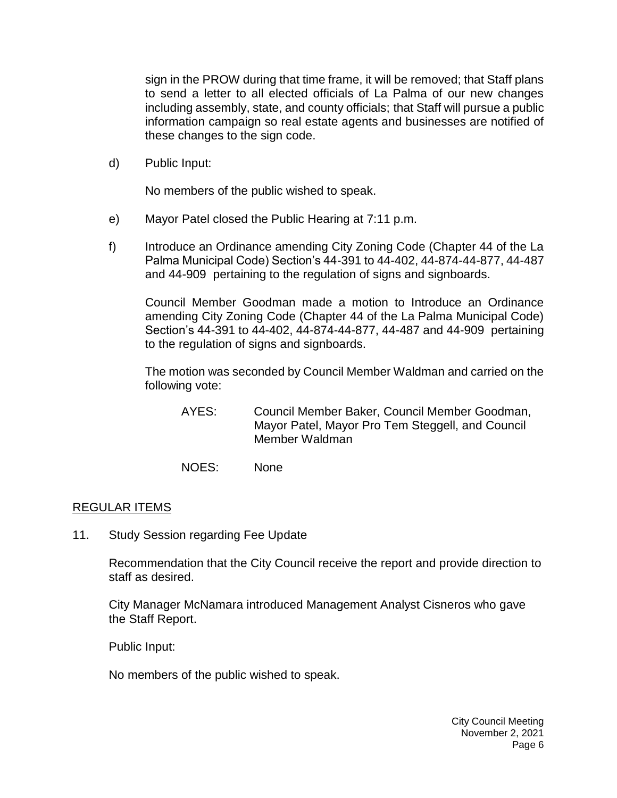sign in the PROW during that time frame, it will be removed; that Staff plans to send a letter to all elected officials of La Palma of our new changes including assembly, state, and county officials; that Staff will pursue a public information campaign so real estate agents and businesses are notified of these changes to the sign code.

d) [Public Input:](https://lapalma.granicus.com/MediaPlayer.php?view_id=&clip_id=1272&meta_id=171345)

No members of the public wished to speak.

- e) [Mayor Patel closed the Public Hearing at 7:11 p.m.](https://lapalma.granicus.com/MediaPlayer.php?view_id=&clip_id=1272&meta_id=171346)
- f) [Introduce an Ordinance amending City Zoning Code \(Chapter 44 of the La](https://lapalma.granicus.com/MediaPlayer.php?view_id=&clip_id=1272&meta_id=171347)  [Palma Municipal Code\) Section's 44-391 to 44-402, 44-874-44-877, 44-487](https://lapalma.granicus.com/MediaPlayer.php?view_id=&clip_id=1272&meta_id=171347)  and 44-909 [pertaining to the regulation of signs and signboards.](https://lapalma.granicus.com/MediaPlayer.php?view_id=&clip_id=1272&meta_id=171347)

Council Member Goodman made a motion to Introduce an Ordinance amending City Zoning Code (Chapter 44 of the La Palma Municipal Code) Section's 44-391 to 44-402, 44-874-44-877, 44-487 and 44-909 pertaining to the regulation of signs and signboards.

The motion was seconded by Council Member Waldman and carried on the following vote:

- AYES: Council Member Baker, Council Member Goodman, Mayor Patel, Mayor Pro Tem Steggell, and Council Member Waldman
- NOES: None

## [REGULAR ITEMS](https://lapalma.granicus.com/MediaPlayer.php?view_id=&clip_id=1272&meta_id=171348)

11. [Study Session regarding Fee Update](https://lapalma.granicus.com/MediaPlayer.php?view_id=&clip_id=1272&meta_id=171349)

Recommendation that the City Council receive the report and provide direction to staff as desired.

City Manager McNamara introduced Management Analyst Cisneros who gave the Staff Report.

Public Input:

No members of the public wished to speak.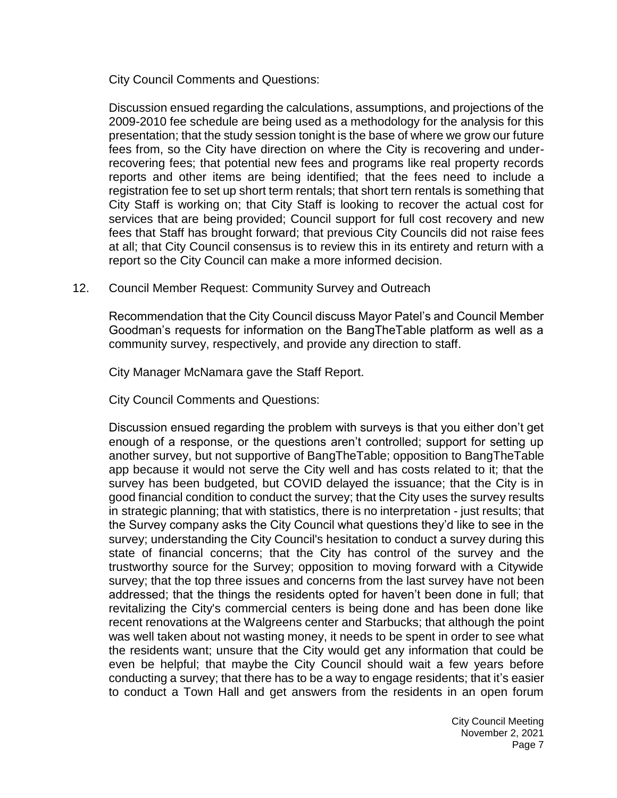City Council Comments and Questions:

Discussion ensued regarding the calculations, assumptions, and projections of the 2009-2010 fee schedule are being used as a methodology for the analysis for this presentation; that the study session tonight is the base of where we grow our future fees from, so the City have direction on where the City is recovering and underrecovering fees; that potential new fees and programs like real property records reports and other items are being identified; that the fees need to include a registration fee to set up short term rentals; that short tern rentals is something that City Staff is working on; that City Staff is looking to recover the actual cost for services that are being provided; Council support for full cost recovery and new fees that Staff has brought forward; that previous City Councils did not raise fees at all; that City Council consensus is to review this in its entirety and return with a report so the City Council can make a more informed decision.

#### 12. [Council Member Request: Community Survey and Outreach](https://lapalma.granicus.com/MediaPlayer.php?view_id=&clip_id=1272&meta_id=171350)

Recommendation that the City Council discuss Mayor Patel's and Council Member Goodman's requests for information on the BangTheTable platform as well as a community survey, respectively, and provide any direction to staff.

City Manager McNamara gave the Staff Report.

City Council Comments and Questions:

Discussion ensued regarding the problem with surveys is that you either don't get enough of a response, or the questions aren't controlled; support for setting up another survey, but not supportive of BangTheTable; opposition to BangTheTable app because it would not serve the City well and has costs related to it; that the survey has been budgeted, but COVID delayed the issuance; that the City is in good financial condition to conduct the survey; that the City uses the survey results in strategic planning; that with statistics, there is no interpretation - just results; that the Survey company asks the City Council what questions they'd like to see in the survey; understanding the City Council's hesitation to conduct a survey during this state of financial concerns; that the City has control of the survey and the trustworthy source for the Survey; opposition to moving forward with a Citywide survey; that the top three issues and concerns from the last survey have not been addressed; that the things the residents opted for haven't been done in full; that revitalizing the City's commercial centers is being done and has been done like recent renovations at the Walgreens center and Starbucks; that although the point was well taken about not wasting money, it needs to be spent in order to see what the residents want; unsure that the City would get any information that could be even be helpful; that maybe the City Council should wait a few years before conducting a survey; that there has to be a way to engage residents; that it's easier to conduct a Town Hall and get answers from the residents in an open forum

> City Council Meeting November 2, 2021 Page 7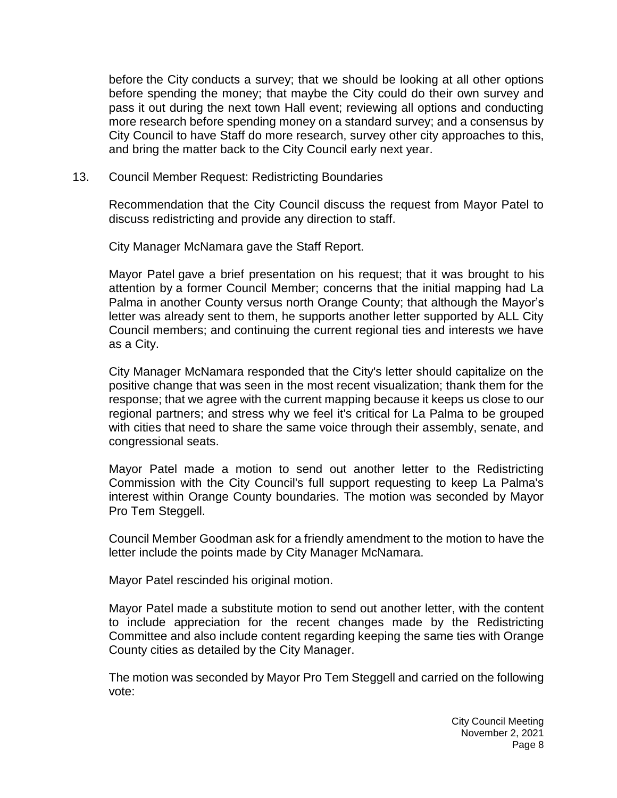before the City conducts a survey; that we should be looking at all other options before spending the money; that maybe the City could do their own survey and pass it out during the next town Hall event; reviewing all options and conducting more research before spending money on a standard survey; and a consensus by City Council to have Staff do more research, survey other city approaches to this, and bring the matter back to the City Council early next year.

13. [Council Member Request: Redistricting Boundaries](https://lapalma.granicus.com/MediaPlayer.php?view_id=&clip_id=1272&meta_id=171351)

Recommendation that the City Council discuss the request from Mayor Patel to discuss redistricting and provide any direction to staff.

City Manager McNamara gave the Staff Report.

Mayor Patel gave a brief presentation on his request; that it was brought to his attention by a former Council Member; concerns that the initial mapping had La Palma in another County versus north Orange County; that although the Mayor's letter was already sent to them, he supports another letter supported by ALL City Council members; and continuing the current regional ties and interests we have as a City.

City Manager McNamara responded that the City's letter should capitalize on the positive change that was seen in the most recent visualization; thank them for the response; that we agree with the current mapping because it keeps us close to our regional partners; and stress why we feel it's critical for La Palma to be grouped with cities that need to share the same voice through their assembly, senate, and congressional seats.

Mayor Patel made a motion to send out another letter to the Redistricting Commission with the City Council's full support requesting to keep La Palma's interest within Orange County boundaries. The motion was seconded by Mayor Pro Tem Steggell.

Council Member Goodman ask for a friendly amendment to the motion to have the letter include the points made by City Manager McNamara.

Mayor Patel rescinded his original motion.

Mayor Patel made a substitute motion to send out another letter, with the content to include appreciation for the recent changes made by the Redistricting Committee and also include content regarding keeping the same ties with Orange County cities as detailed by the City Manager.

The motion was seconded by Mayor Pro Tem Steggell and carried on the following vote: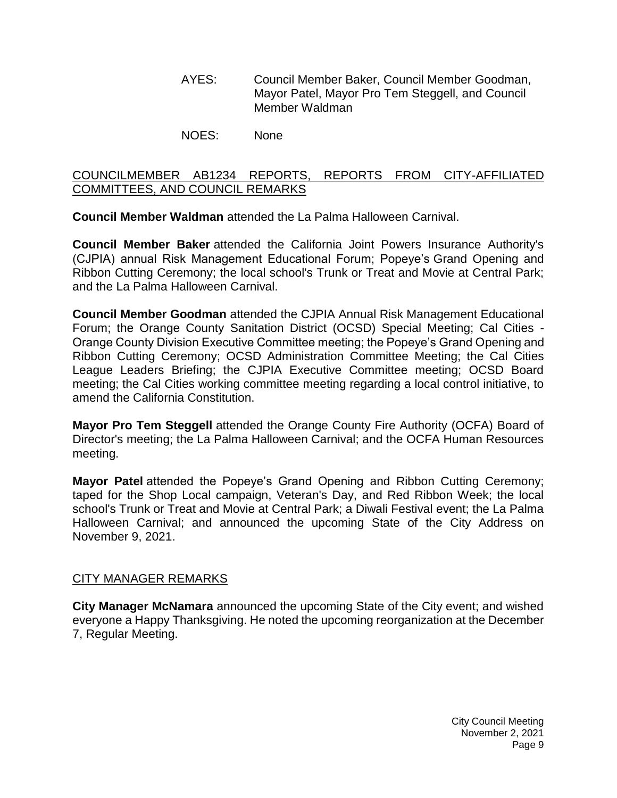- AYES: Council Member Baker, Council Member Goodman, Mayor Patel, Mayor Pro Tem Steggell, and Council Member Waldman
- NOES: None

# [COUNCILMEMBER AB1234 REPORTS, REPORTS FROM CITY-AFFILIATED](https://lapalma.granicus.com/MediaPlayer.php?view_id=&clip_id=1272&meta_id=171352)  [COMMITTEES, AND COUNCIL REMARKS](https://lapalma.granicus.com/MediaPlayer.php?view_id=&clip_id=1272&meta_id=171352)

**Council Member Waldman** attended the La Palma Halloween Carnival.

**Council Member Baker** attended the California Joint Powers Insurance Authority's (CJPIA) annual Risk Management Educational Forum; Popeye's Grand Opening and Ribbon Cutting Ceremony; the local school's Trunk or Treat and Movie at Central Park; and the La Palma Halloween Carnival.

**Council Member Goodman** attended the CJPIA Annual Risk Management Educational Forum; the Orange County Sanitation District (OCSD) Special Meeting; Cal Cities - Orange County Division Executive Committee meeting; the Popeye's Grand Opening and Ribbon Cutting Ceremony; OCSD Administration Committee Meeting; the Cal Cities League Leaders Briefing; the CJPIA Executive Committee meeting; OCSD Board meeting; the Cal Cities working committee meeting regarding a local control initiative, to amend the California Constitution.

**Mayor Pro Tem Steggell** attended the Orange County Fire Authority (OCFA) Board of Director's meeting; the La Palma Halloween Carnival; and the OCFA Human Resources meeting.

**Mayor Patel** attended the Popeye's Grand Opening and Ribbon Cutting Ceremony; taped for the Shop Local campaign, Veteran's Day, and Red Ribbon Week; the local school's Trunk or Treat and Movie at Central Park; a Diwali Festival event; the La Palma Halloween Carnival; and announced the upcoming State of the City Address on November 9, 2021.

## [CITY MANAGER REMARKS](https://lapalma.granicus.com/MediaPlayer.php?view_id=&clip_id=1272&meta_id=171353)

**City Manager McNamara** announced the upcoming State of the City event; and wished everyone a Happy Thanksgiving. He noted the upcoming reorganization at the December 7, Regular Meeting.